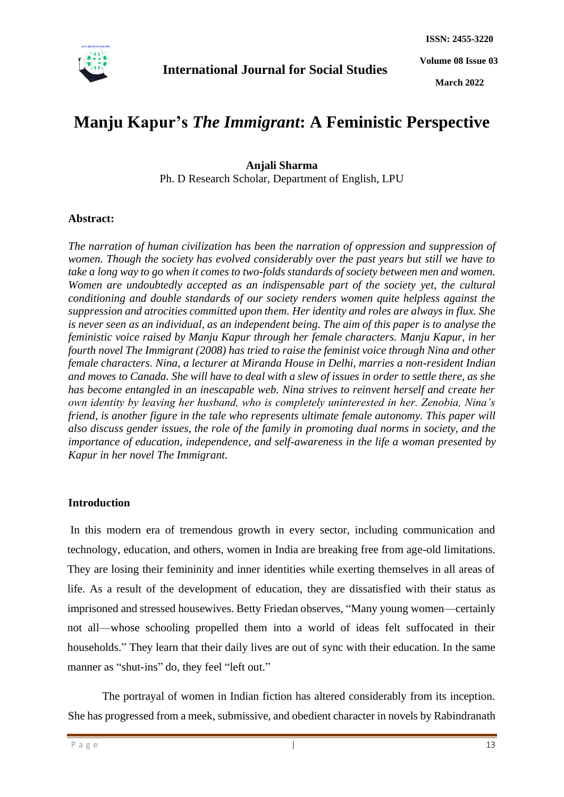

**Volume 08 Issue 03**

**March 2022**

# **Manju Kapur's** *The Immigrant***: A Feministic Perspective**

**Anjali Sharma** Ph. D Research Scholar, Department of English, LPU

#### **Abstract:**

*The narration of human civilization has been the narration of oppression and suppression of women. Though the society has evolved considerably over the past years but still we have to take a long way to go when it comes to two-folds standards of society between men and women. Women are undoubtedly accepted as an indispensable part of the society yet, the cultural conditioning and double standards of our society renders women quite helpless against the suppression and atrocities committed upon them. Her identity and roles are always in flux. She is never seen as an individual, as an independent being. The aim of this paper is to analyse the feministic voice raised by Manju Kapur through her female characters. Manju Kapur, in her fourth novel The Immigrant (2008) has tried to raise the feminist voice through Nina and other female characters. Nina, a lecturer at Miranda House in Delhi, marries a non-resident Indian and moves to Canada. She will have to deal with a slew of issues in order to settle there, as she has become entangled in an inescapable web. Nina strives to reinvent herself and create her own identity by leaving her husband, who is completely uninterested in her. Zenobia, Nina's friend, is another figure in the tale who represents ultimate female autonomy. This paper will also discuss gender issues, the role of the family in promoting dual norms in society, and the importance of education, independence, and self-awareness in the life a woman presented by Kapur in her novel The Immigrant.*

#### **Introduction**

In this modern era of tremendous growth in every sector, including communication and technology, education, and others, women in India are breaking free from age-old limitations. They are losing their femininity and inner identities while exerting themselves in all areas of life. As a result of the development of education, they are dissatisfied with their status as imprisoned and stressed housewives. Betty Friedan observes, "Many young women—certainly not all—whose schooling propelled them into a world of ideas felt suffocated in their households." They learn that their daily lives are out of sync with their education. In the same manner as "shut-ins" do, they feel "left out."

The portrayal of women in Indian fiction has altered considerably from its inception. She has progressed from a meek, submissive, and obedient character in novels by Rabindranath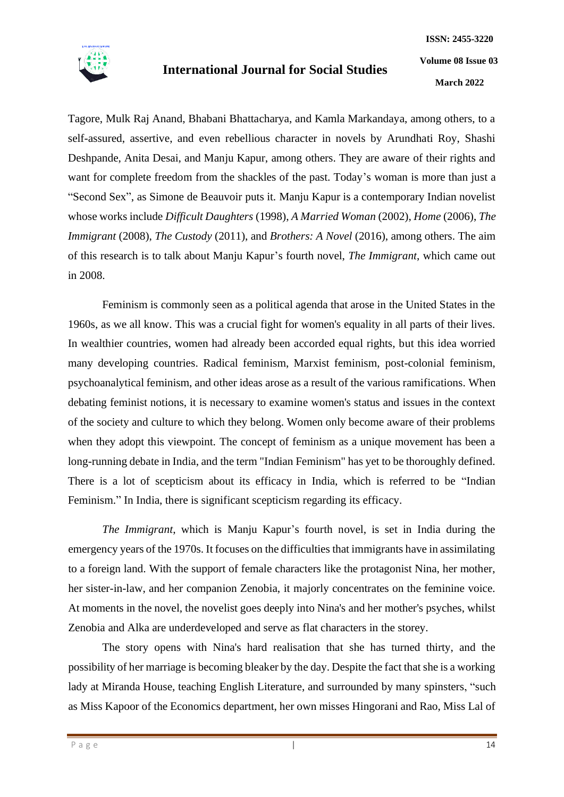

**March 2022**

Tagore, Mulk Raj Anand, Bhabani Bhattacharya, and Kamla Markandaya, among others, to a self-assured, assertive, and even rebellious character in novels by Arundhati Roy, Shashi Deshpande, Anita Desai, and Manju Kapur, among others. They are aware of their rights and want for complete freedom from the shackles of the past. Today's woman is more than just a "Second Sex", as Simone de Beauvoir puts it. Manju Kapur is a contemporary Indian novelist whose works include *Difficult Daughters* (1998), *A Married Woman* (2002), *Home* (2006), *The Immigrant* (2008), *The Custody* (2011), and *Brothers: A Novel* (2016), among others. The aim of this research is to talk about Manju Kapur's fourth novel, *The Immigrant*, which came out in 2008.

Feminism is commonly seen as a political agenda that arose in the United States in the 1960s, as we all know. This was a crucial fight for women's equality in all parts of their lives. In wealthier countries, women had already been accorded equal rights, but this idea worried many developing countries. Radical feminism, Marxist feminism, post-colonial feminism, psychoanalytical feminism, and other ideas arose as a result of the various ramifications. When debating feminist notions, it is necessary to examine women's status and issues in the context of the society and culture to which they belong. Women only become aware of their problems when they adopt this viewpoint. The concept of feminism as a unique movement has been a long-running debate in India, and the term "Indian Feminism" has yet to be thoroughly defined. There is a lot of scepticism about its efficacy in India, which is referred to be "Indian Feminism." In India, there is significant scepticism regarding its efficacy.

*The Immigrant*, which is Manju Kapur's fourth novel, is set in India during the emergency years of the 1970s. It focuses on the difficulties that immigrants have in assimilating to a foreign land. With the support of female characters like the protagonist Nina, her mother, her sister-in-law, and her companion Zenobia, it majorly concentrates on the feminine voice. At moments in the novel, the novelist goes deeply into Nina's and her mother's psyches, whilst Zenobia and Alka are underdeveloped and serve as flat characters in the storey.

The story opens with Nina's hard realisation that she has turned thirty, and the possibility of her marriage is becoming bleaker by the day. Despite the fact that she is a working lady at Miranda House, teaching English Literature, and surrounded by many spinsters, "such as Miss Kapoor of the Economics department, her own misses Hingorani and Rao, Miss Lal of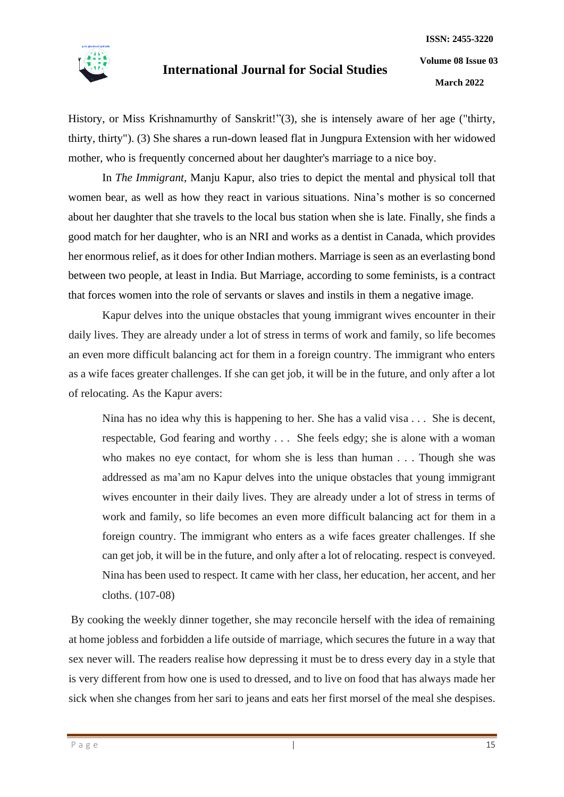

History, or Miss Krishnamurthy of Sanskrit!"(3), she is intensely aware of her age ("thirty, thirty, thirty"). (3) She shares a run-down leased flat in Jungpura Extension with her widowed mother, who is frequently concerned about her daughter's marriage to a nice boy.

In *The Immigrant*, Manju Kapur, also tries to depict the mental and physical toll that women bear, as well as how they react in various situations. Nina's mother is so concerned about her daughter that she travels to the local bus station when she is late. Finally, she finds a good match for her daughter, who is an NRI and works as a dentist in Canada, which provides her enormous relief, as it does for other Indian mothers. Marriage is seen as an everlasting bond between two people, at least in India. But Marriage, according to some feminists, is a contract that forces women into the role of servants or slaves and instils in them a negative image.

Kapur delves into the unique obstacles that young immigrant wives encounter in their daily lives. They are already under a lot of stress in terms of work and family, so life becomes an even more difficult balancing act for them in a foreign country. The immigrant who enters as a wife faces greater challenges. If she can get job, it will be in the future, and only after a lot of relocating. As the Kapur avers:

Nina has no idea why this is happening to her. She has a valid visa . . . She is decent, respectable, God fearing and worthy . . . She feels edgy; she is alone with a woman who makes no eye contact, for whom she is less than human . . . Though she was addressed as ma'am no Kapur delves into the unique obstacles that young immigrant wives encounter in their daily lives. They are already under a lot of stress in terms of work and family, so life becomes an even more difficult balancing act for them in a foreign country. The immigrant who enters as a wife faces greater challenges. If she can get job, it will be in the future, and only after a lot of relocating. respect is conveyed. Nina has been used to respect. It came with her class, her education, her accent, and her cloths. (107-08)

By cooking the weekly dinner together, she may reconcile herself with the idea of remaining at home jobless and forbidden a life outside of marriage, which secures the future in a way that sex never will. The readers realise how depressing it must be to dress every day in a style that is very different from how one is used to dressed, and to live on food that has always made her sick when she changes from her sari to jeans and eats her first morsel of the meal she despises.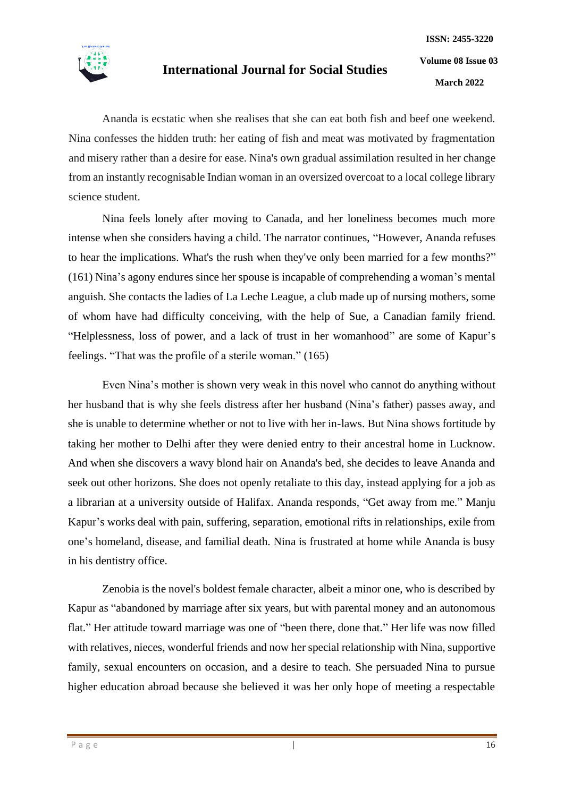

Ananda is ecstatic when she realises that she can eat both fish and beef one weekend. Nina confesses the hidden truth: her eating of fish and meat was motivated by fragmentation and misery rather than a desire for ease. Nina's own gradual assimilation resulted in her change from an instantly recognisable Indian woman in an oversized overcoat to a local college library science student.

Nina feels lonely after moving to Canada, and her loneliness becomes much more intense when she considers having a child. The narrator continues, "However, Ananda refuses to hear the implications. What's the rush when they've only been married for a few months?" (161) Nina's agony endures since her spouse is incapable of comprehending a woman's mental anguish. She contacts the ladies of La Leche League, a club made up of nursing mothers, some of whom have had difficulty conceiving, with the help of Sue, a Canadian family friend. "Helplessness, loss of power, and a lack of trust in her womanhood" are some of Kapur's feelings. "That was the profile of a sterile woman." (165)

Even Nina's mother is shown very weak in this novel who cannot do anything without her husband that is why she feels distress after her husband (Nina's father) passes away, and she is unable to determine whether or not to live with her in-laws. But Nina shows fortitude by taking her mother to Delhi after they were denied entry to their ancestral home in Lucknow. And when she discovers a wavy blond hair on Ananda's bed, she decides to leave Ananda and seek out other horizons. She does not openly retaliate to this day, instead applying for a job as a librarian at a university outside of Halifax. Ananda responds, "Get away from me." Manju Kapur's works deal with pain, suffering, separation, emotional rifts in relationships, exile from one's homeland, disease, and familial death. Nina is frustrated at home while Ananda is busy in his dentistry office.

Zenobia is the novel's boldest female character, albeit a minor one, who is described by Kapur as "abandoned by marriage after six years, but with parental money and an autonomous flat." Her attitude toward marriage was one of "been there, done that." Her life was now filled with relatives, nieces, wonderful friends and now her special relationship with Nina, supportive family, sexual encounters on occasion, and a desire to teach. She persuaded Nina to pursue higher education abroad because she believed it was her only hope of meeting a respectable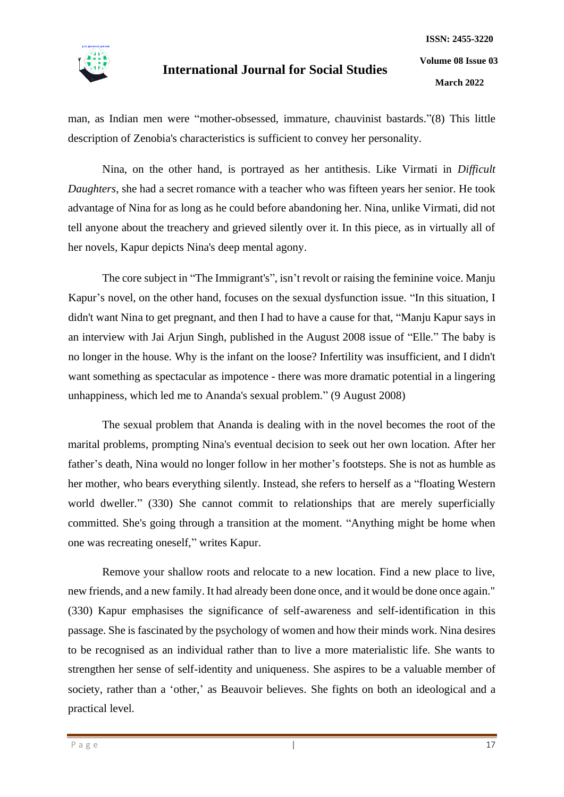

**March 2022**

man, as Indian men were "mother-obsessed, immature, chauvinist bastards."(8) This little description of Zenobia's characteristics is sufficient to convey her personality.

Nina, on the other hand, is portrayed as her antithesis. Like Virmati in *Difficult Daughters*, she had a secret romance with a teacher who was fifteen years her senior. He took advantage of Nina for as long as he could before abandoning her. Nina, unlike Virmati, did not tell anyone about the treachery and grieved silently over it. In this piece, as in virtually all of her novels, Kapur depicts Nina's deep mental agony.

The core subject in "The Immigrant's", isn't revolt or raising the feminine voice. Manju Kapur's novel, on the other hand, focuses on the sexual dysfunction issue. "In this situation, I didn't want Nina to get pregnant, and then I had to have a cause for that, "Manju Kapur says in an interview with Jai Arjun Singh, published in the August 2008 issue of "Elle." The baby is no longer in the house. Why is the infant on the loose? Infertility was insufficient, and I didn't want something as spectacular as impotence - there was more dramatic potential in a lingering unhappiness, which led me to Ananda's sexual problem." (9 August 2008)

The sexual problem that Ananda is dealing with in the novel becomes the root of the marital problems, prompting Nina's eventual decision to seek out her own location. After her father's death, Nina would no longer follow in her mother's footsteps. She is not as humble as her mother, who bears everything silently. Instead, she refers to herself as a "floating Western world dweller." (330) She cannot commit to relationships that are merely superficially committed. She's going through a transition at the moment. "Anything might be home when one was recreating oneself," writes Kapur.

Remove your shallow roots and relocate to a new location. Find a new place to live, new friends, and a new family. It had already been done once, and it would be done once again." (330) Kapur emphasises the significance of self-awareness and self-identification in this passage. She is fascinated by the psychology of women and how their minds work. Nina desires to be recognised as an individual rather than to live a more materialistic life. She wants to strengthen her sense of self-identity and uniqueness. She aspires to be a valuable member of society, rather than a 'other,' as Beauvoir believes. She fights on both an ideological and a practical level.